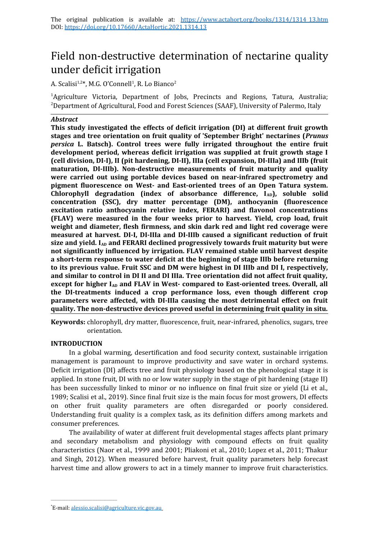# Field non-destructive determination of nectarine quality under deficit irrigation

A. Scalisi<sup>1,2\*</sup>, M.G. O'Connell<sup>1</sup>, R. Lo Bianco<sup>2</sup>

<sup>1</sup>Agriculture Victoria, Department of Jobs, Precincts and Regions, Tatura, Australia; <sup>2</sup>Department of Agricultural, Food and Forest Sciences (SAAF), University of Palermo, Italy

## *Abstract*

**This study investigated the effects of deficit irrigation (DI) at different fruit growth stages and tree orientation on fruit quality of 'September Bright' nectarines (***Prunus persica* **L. Batsch). Control trees were fully irrigated throughout the entire fruit development period, whereas deficit irrigation was supplied at fruit growth stage I (cell division, DI-I), II (pit hardening, DI-II), IIIa (cell expansion, DI-IIIa) and IIIb (fruit maturation, DI-IIIb). Non-destructive measurements of fruit maturity and quality were carried out using portable devices based on near-infrared spectrometry and pigment fluorescence on West- and East-oriented trees of an Open Tatura system.** Chlorophyll degradation (index of absorbance difference, I<sub>AD</sub>), soluble solid **concentration (SSC), dry matter percentage (DM), anthocyanin (fluorescence excitation ratio anthocyanin relative index, FERARI) and flavonol concentrations (FLAV) were measured in the four weeks prior to harvest. Yield, crop load, fruit weight and diameter, flesh firmness, and skin dark red and light red coverage were measured at harvest. DI-I, DI-IIIa and DI-IIIb caused a significant reduction of fruit** size and yield. I<sub>AD</sub> and FERARI declined progressively towards fruit maturity but were **not significantly influenced by irrigation. FLAV remained stable until harvest despite a short-term response to water deficit at the beginning of stage IIIb before returning to its previous value. Fruit SSC and DM were highest in DI IIIb and DI I, respectively, and similar to control in DI II and DI IIIa. Tree orientation did not affect fruit quality,** except for higher I<sub>AD</sub> and FLAV in West- compared to East-oriented trees. Overall, all **the DI-treatments induced a crop performance loss, even though different crop parameters were affected, with DI-IIIa causing the most detrimental effect on fruit quality. The non-destructive devices proved useful in determining fruit quality in situ.**

**Keywords:** chlorophyll, dry matter, fluorescence, fruit, near-infrared, phenolics, sugars, tree orientation.

## **INTRODUCTION**

In a global warming, desertification and food security context, sustainable irrigation management is paramount to improve productivity and save water in orchard systems. Deficit irrigation (DI) affects tree and fruit physiology based on the phenological stage it is applied. In stone fruit, DI with no or low water supply in the stage of pit hardening (stage II) has been successfully linked to minor or no influence on final fruit size or yield (Li et al., 1989; Scalisi et al., 2019). Since final fruit size is the main focus for most growers, DI effects on other fruit quality parameters are often disregarded or poorly considered. Understanding fruit quality is a complex task, as its definition differs among markets and consumer preferences.

The availability of water at different fruit developmental stages affects plant primary and secondary metabolism and physiology with compound effects on fruit quality characteristics (Naor et al., 1999 and 2001; Pliakoni et al., 2010; Lopez et al., 2011; Thakur and Singh, 2012). When measured before harvest, fruit quality parameters help forecast harvest time and allow growers to act in a timely manner to improve fruit characteristics.

<sup>\*</sup>E-mail: [alessio.scalisi@agriculture.vic.gov.au](mailto:alessio.scalisi@agriculture.vic.gov.au)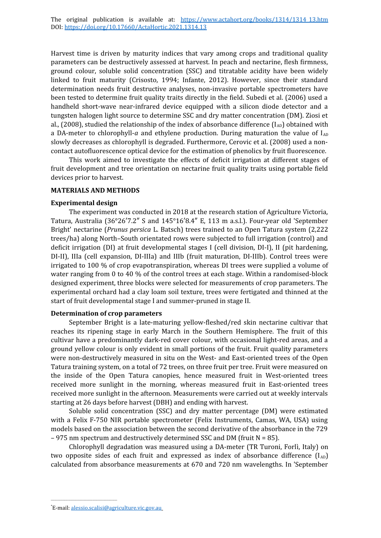Harvest time is driven by maturity indices that vary among crops and traditional quality parameters can be destructively assessed at harvest. In peach and nectarine, flesh firmness, ground colour, soluble solid concentration (SSC) and titratable acidity have been widely linked to fruit maturity (Crisosto, 1994; Infante, 2012). However, since their standard determination needs fruit destructive analyses, non-invasive portable spectrometers have been tested to determine fruit quality traits directly in the field. Subedi et al. (2006) used a handheld short-wave near-infrared device equipped with a silicon diode detector and a tungsten halogen light source to determine SSC and dry matter concentration (DM). Ziosi et al., (2008), studied the relationship of the index of absorbance difference  $(I_{AD})$  obtained with a DA-meter to chlorophyll- $a$  and ethylene production. During maturation the value of  $I_{AD}$ slowly decreases as chlorophyll is degraded. Furthermore, Cerovic et al. (2008) used a noncontact autofluorescence optical device for the estimation of phenolics by fruit fluorescence.

This work aimed to investigate the effects of deficit irrigation at different stages of fruit development and tree orientation on nectarine fruit quality traits using portable field devices prior to harvest.

#### **MATERIALS AND METHODS**

#### **Experimental design**

The experiment was conducted in 2018 at the research station of Agriculture Victoria, Tatura, Australia (36°26′7.2″ S and 145°16′8.4″ E, 113 m a.s.l.). Four-year old 'September Bright' nectarine (*Prunus persica* L. Batsch) trees trained to an Open Tatura system (2,222 trees/ha) along North–South orientated rows were subjected to full irrigation (control) and deficit irrigation (DI) at fruit developmental stages I (cell division, DI-I), II (pit hardening, DI-II), IIIa (cell expansion, DI-IIIa) and IIIb (fruit maturation, DI-IIIb). Control trees were irrigated to 100 % of crop evapotranspiration, whereas DI trees were supplied a volume of water ranging from 0 to 40 % of the control trees at each stage. Within a randomised-block designed experiment, three blocks were selected for measurements of crop parameters. The experimental orchard had a clay loam soil texture, trees were fertigated and thinned at the start of fruit developmental stage I and summer-pruned in stage II.

## **Determination of crop parameters**

September Bright is a late-maturing yellow-fleshed/red skin nectarine cultivar that reaches its ripening stage in early March in the Southern Hemisphere. The fruit of this cultivar have a predominantly dark-red cover colour, with occasional light-red areas, and a ground yellow colour is only evident in small portions of the fruit. Fruit quality parameters were non-destructively measured in situ on the West- and East-oriented trees of the Open Tatura training system, on a total of 72 trees, on three fruit per tree. Fruit were measured on the inside of the Open Tatura canopies, hence measured fruit in West-oriented trees received more sunlight in the morning, whereas measured fruit in East-oriented trees received more sunlight in the afternoon. Measurements were carried out at weekly intervals starting at 26 days before harvest (DBH) and ending with harvest.

Soluble solid concentration (SSC) and dry matter percentage (DM) were estimated with a Felix F-750 NIR portable spectrometer (Felix Instruments, Camas, WA, USA) using models based on the association between the second derivative of the absorbance in the 729  $-975$  nm spectrum and destructively determined SSC and DM (fruit  $N = 85$ ).

Chlorophyll degradation was measured using a DA-meter (TR Turoni, Forlì, Italy) on two opposite sides of each fruit and expressed as index of absorbance difference  $(I_{AD})$ calculated from absorbance measurements at 670 and 720 nm wavelengths. In 'September

<sup>\*</sup>E-mail: [alessio.scalisi@agriculture.vic.gov.au](mailto:alessio.scalisi@agriculture.vic.gov.au)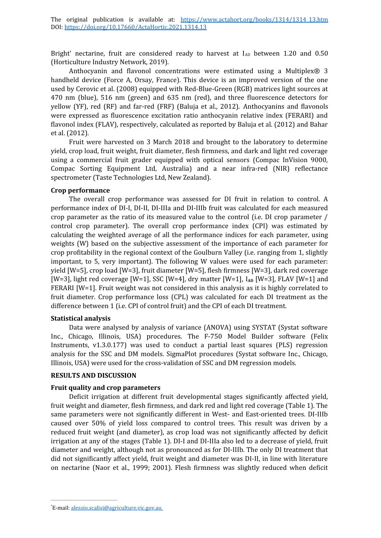Bright' nectarine, fruit are considered ready to harvest at  $I_{AD}$  between 1.20 and 0.50 (Horticulture Industry Network, 2019).

Anthocyanin and flavonol concentrations were estimated using a Multiplex® 3 handheld device (Force A, Orsay, France). This device is an improved version of the one used by Cerovic et al. (2008) equipped with Red-Blue-Green (RGB) matrices light sources at 470 nm (blue), 516 nm (green) and 635 nm (red), and three fluorescence detectors for yellow (YF), red (RF) and far-red (FRF) (Baluja et al., 2012). Anthocyanins and flavonols were expressed as fluorescence excitation ratio anthocyanin relative index (FERARI) and flavonol index (FLAV), respectively, calculated as reported by Baluja et al. (2012) and Bahar et al. (2012).

Fruit were harvested on 3 March 2018 and brought to the laboratory to determine yield, crop load, fruit weight, fruit diameter, flesh firmness, and dark and light red coverage using a commercial fruit grader equipped with optical sensors (Compac InVision 9000, Compac Sorting Equipment Ltd, Australia) and a near infra-red (NIR) reflectance spectrometer (Taste Technologies Ltd, New Zealand).

## **Crop performance**

The overall crop performance was assessed for DI fruit in relation to control. A performance index of DI-I, DI-II, DI-IIIa and DI-IIIb fruit was calculated for each measured crop parameter as the ratio of its measured value to the control (i.e. DI crop parameter / control crop parameter). The overall crop performance index (CPI) was estimated by calculating the weighted average of all the performance indices for each parameter, using weights (W) based on the subjective assessment of the importance of each parameter for crop profitability in the regional context of the Goulburn Valley (i.e. ranging from 1, slightly important, to 5, very important). The following W values were used for each parameter: yield [W=5], crop load [W=3], fruit diameter [W=5], flesh firmness [W=3], dark red coverage [W=3], light red coverage  $[W=1]$ , SSC  $[W=4]$ , dry matter  $[W=1]$ ,  $I_{AD}$   $[W=3]$ , FLAV  $[W=1]$  and FERARI [W=1]. Fruit weight was not considered in this analysis as it is highly correlated to fruit diameter. Crop performance loss (CPL) was calculated for each DI treatment as the difference between 1 (i.e. CPI of control fruit) and the CPI of each DI treatment.

## **Statistical analysis**

Data were analysed by analysis of variance (ANOVA) using SYSTAT (Systat software Inc., Chicago, Illinois, USA) procedures. The F-750 Model Builder software (Felix Instruments, v1.3.0.177) was used to conduct a partial least squares (PLS) regression analysis for the SSC and DM models. SigmaPlot procedures (Systat software Inc., Chicago, Illinois, USA) were used for the cross-validation of SSC and DM regression models.

## **RESULTS AND DISCUSSION**

## **Fruit quality and crop parameters**

Deficit irrigation at different fruit developmental stages significantly affected yield, fruit weight and diameter, flesh firmness, and dark red and light red coverage (Table 1). The same parameters were not significantly different in West- and East-oriented trees. DI-IIIb caused over 50% of yield loss compared to control trees. This result was driven by a reduced fruit weight (and diameter), as crop load was not significantly affected by deficit irrigation at any of the stages (Table 1). DI-I and DI-IIIa also led to a decrease of yield, fruit diameter and weight, although not as pronounced as for DI-IIIb. The only DI treatment that did not significantly affect yield, fruit weight and diameter was DI-II, in line with literature on nectarine (Naor et al., 1999; 2001). Flesh firmness was slightly reduced when deficit

<sup>\*</sup>E-mail: [alessio.scalisi@agriculture.vic.gov.au](mailto:alessio.scalisi@agriculture.vic.gov.au)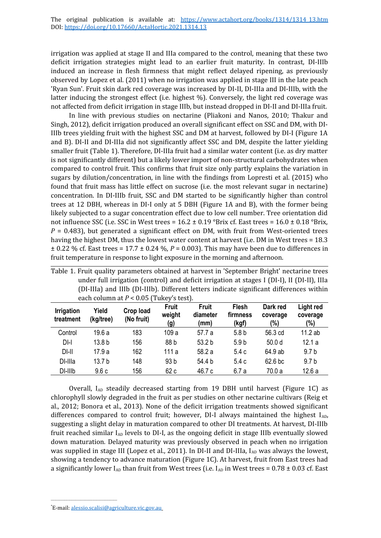irrigation was applied at stage II and IIIa compared to the control, meaning that these two deficit irrigation strategies might lead to an earlier fruit maturity. In contrast, DI-IIIb induced an increase in flesh firmness that might reflect delayed ripening, as previously observed by Lopez et al. (2011) when no irrigation was applied in stage III in the late peach 'Ryan Sun'. Fruit skin dark red coverage was increased by DI-II, DI-IIIa and DI-IIIb, with the latter inducing the strongest effect (i.e. highest %). Conversely, the light red coverage was not affected from deficit irrigation in stage IIIb, but instead dropped in DI-II and DI-IIIa fruit.

In line with previous studies on nectarine (Pliakoni and Nanos, 2010; Thakur and Singh, 2012), deficit irrigation produced an overall significant effect on SSC and DM, with DI-IIIb trees yielding fruit with the highest SSC and DM at harvest, followed by DI-I (Figure 1A and B). DI-II and DI-IIIa did not significantly affect SSC and DM, despite the latter yielding smaller fruit (Table 1). Therefore, DI-IIIa fruit had a similar water content (i.e. as dry matter is not significantly different) but a likely lower import of non-structural carbohydrates when compared to control fruit. This confirms that fruit size only partly explains the variation in sugars by dilution/concentration, in line with the findings from Lopresti et al. (2015) who found that fruit mass has little effect on sucrose (i.e. the most relevant sugar in nectarine) concentration. In DI-IIIb fruit, SSC and DM started to be significantly higher than control trees at 12 DBH, whereas in DI-I only at 5 DBH (Figure 1A and B), with the former being likely subjected to a sugar concentration effect due to low cell number. Tree orientation did not influence SSC (i.e. SSC in West trees =  $16.2 \pm 0.19$  °Brix cf. East trees =  $16.0 \pm 0.18$  °Brix,  $P = 0.483$ , but generated a significant effect on DM, with fruit from West-oriented trees having the highest DM, thus the lowest water content at harvest (i.e. DM in West trees = 18.3 ± 0.22 % cf. East trees = 17.7 ± 0.24 %, *P* = 0.003). This may have been due to differences in fruit temperature in response to light exposure in the morning and afternoon.

| each column at P < 0.05   Tukey S test). |                    |                         |                               |                                  |                                   |                             |                              |  |
|------------------------------------------|--------------------|-------------------------|-------------------------------|----------------------------------|-----------------------------------|-----------------------------|------------------------------|--|
| <b>Irrigation</b><br>treatment           | Yield<br>(kg/tree) | Crop load<br>(No fruit) | <b>Fruit</b><br>weight<br>(g) | <b>Fruit</b><br>diameter<br>(mm) | <b>Flesh</b><br>firmness<br>(kgf) | Dark red<br>coverage<br>(%) | Light red<br>coverage<br>(%) |  |
| Control                                  | 19.6a              | 183                     | 109 a                         | 57.7 a                           | 5.8 <sub>b</sub>                  | 56.3 cd                     | 11.2ab                       |  |
| $DI-I$                                   | 13.8 <sub>b</sub>  | 156                     | 88 b                          | 53.2 <sub>b</sub>                | 5.9 <sub>b</sub>                  | 50.0 <sub>d</sub>           | 12.1a                        |  |
| DI-II                                    | 17.9a              | 162                     | 111 a                         | 58.2 a                           | 5.4c                              | 64.9 ab                     | 9.7 <sub>b</sub>             |  |
| DI-Illa                                  | 13.7 <sub>b</sub>  | 148                     | 93 <sub>b</sub>               | 54.4 b                           | 5.4c                              | 62.6 bc                     | 9.7 <sub>b</sub>             |  |
| DI-IIIb                                  | 9.6c               | 156                     | 62 c                          | 46.7 c                           | 6.7 a                             | 70.0a                       | 12.6a                        |  |

Table 1. Fruit quality parameters obtained at harvest in 'September Bright' nectarine trees under full irrigation (control) and deficit irrigation at stages I (DI-I), II (DI-II), IIIa (DI-IIIa) and IIIb (DI-IIIb). Different letters indicate significant differences within each column at *P* < 0.05 (Tukey's test).

Overall,  $I_{AD}$  steadily decreased starting from 19 DBH until harvest (Figure 1C) as chlorophyll slowly degraded in the fruit as per studies on other nectarine cultivars (Reig et al., 2012; Bonora et al., 2013). None of the deficit irrigation treatments showed significant differences compared to control fruit; however, DI-I always maintained the highest  $I_{AD}$ , suggesting a slight delay in maturation compared to other DI treatments. At harvest, DI-IIIb fruit reached similar  $I_{AD}$  levels to DI-I, as the ongoing deficit in stage IIIb eventually slowed down maturation. Delayed maturity was previously observed in peach when no irrigation was supplied in stage III (Lopez et al., 2011). In DI-II and DI-IIIa,  $I_{AD}$  was always the lowest, showing a tendency to advance maturation (Figure 1C). At harvest, fruit from East trees had a significantly lower  $I_{AD}$  than fruit from West trees (i.e.  $I_{AD}$  in West trees = 0.78  $\pm$  0.03 cf. East

<sup>\*</sup>E-mail: [alessio.scalisi@agriculture.vic.gov.au](mailto:alessio.scalisi@agriculture.vic.gov.au)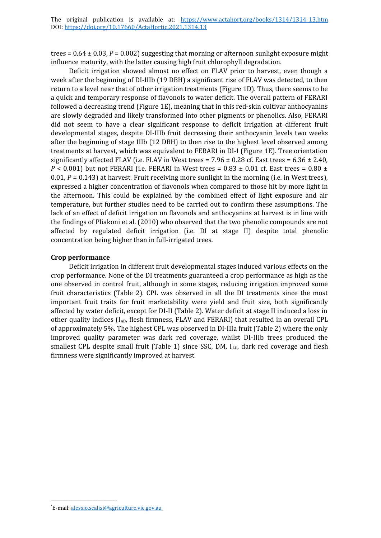trees =  $0.64 \pm 0.03$ ,  $P = 0.002$ ) suggesting that morning or afternoon sunlight exposure might influence maturity, with the latter causing high fruit chlorophyll degradation.

Deficit irrigation showed almost no effect on FLAV prior to harvest, even though a week after the beginning of DI-IIIb (19 DBH) a significant rise of FLAV was detected, to then return to a level near that of other irrigation treatments (Figure 1D). Thus, there seems to be a quick and temporary response of flavonols to water deficit. The overall pattern of FERARI followed a decreasing trend (Figure 1E), meaning that in this red-skin cultivar anthocyanins are slowly degraded and likely transformed into other pigments or phenolics. Also, FERARI did not seem to have a clear significant response to deficit irrigation at different fruit developmental stages, despite DI-IIIb fruit decreasing their anthocyanin levels two weeks after the beginning of stage IIIb (12 DBH) to then rise to the highest level observed among treatments at harvest, which was equivalent to FERARI in DI-I (Figure 1E). Tree orientation significantly affected FLAV (i.e. FLAV in West trees =  $7.96 \pm 0.28$  cf. East trees =  $6.36 \pm 2.40$ ,  $P < 0.001$ ) but not FERARI (i.e. FERARI in West trees =  $0.83 \pm 0.01$  cf. East trees =  $0.80 \pm 0.01$ 0.01, *P* = 0.143) at harvest. Fruit receiving more sunlight in the morning (i.e. in West trees), expressed a higher concentration of flavonols when compared to those hit by more light in the afternoon. This could be explained by the combined effect of light exposure and air temperature, but further studies need to be carried out to confirm these assumptions. The lack of an effect of deficit irrigation on flavonols and anthocyanins at harvest is in line with the findings of Pliakoni et al. (2010) who observed that the two phenolic compounds are not affected by regulated deficit irrigation (i.e. DI at stage II) despite total phenolic concentration being higher than in full-irrigated trees.

## **Crop performance**

Deficit irrigation in different fruit developmental stages induced various effects on the crop performance. None of the DI treatments guaranteed a crop performance as high as the one observed in control fruit, although in some stages, reducing irrigation improved some fruit characteristics (Table 2). CPL was observed in all the DI treatments since the most important fruit traits for fruit marketability were yield and fruit size, both significantly affected by water deficit, except for DI-II (Table 2). Water deficit at stage II induced a loss in other quality indices (IAD, flesh firmness, FLAV and FERARI) that resulted in an overall CPL of approximately 5%. The highest CPL was observed in DI-IIIa fruit (Table 2) where the only improved quality parameter was dark red coverage, whilst DI-IIIb trees produced the smallest CPL despite small fruit (Table 1) since SSC, DM, I<sub>AD</sub>, dark red coverage and flesh firmness were significantly improved at harvest.

<sup>\*</sup>E-mail: [alessio.scalisi@agriculture.vic.gov.au](mailto:alessio.scalisi@agriculture.vic.gov.au)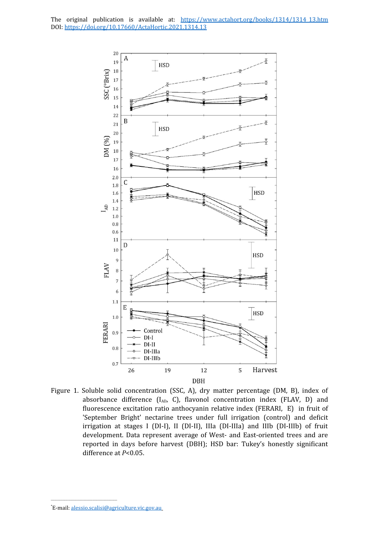

Figure 1. Soluble solid concentration (SSC, A), dry matter percentage (DM, B), index of absorbance difference  $(I_{AD}$ , C), flavonol concentration index (FLAV, D) and fluorescence excitation ratio anthocyanin relative index (FERARI, E) in fruit of 'September Bright' nectarine trees under full irrigation (control) and deficit irrigation at stages I (DI-I), II (DI-II), IIIa (DI-IIIa) and IIIb (DI-IIIb) of fruit development. Data represent average of West- and East-oriented trees and are reported in days before harvest (DBH); HSD bar: Tukey's honestly significant difference at *P*<0.05.

<sup>\*</sup>E-mail: [alessio.scalisi@agriculture.vic.gov.au](mailto:alessio.scalisi@agriculture.vic.gov.au)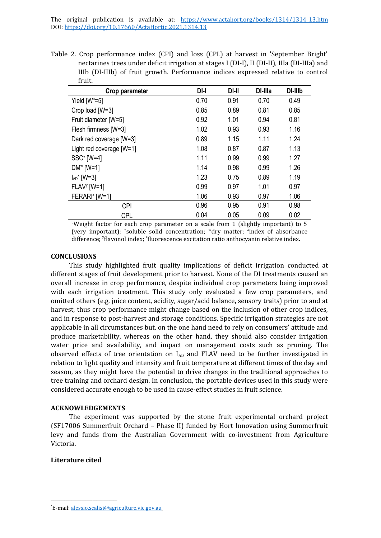Table 2. Crop performance index (CPI) and loss (CPL) at harvest in 'September Bright' nectarines trees under deficit irrigation at stages I (DI-I), II (DI-II), IIIa (DI-IIIa) and IIIb (DI-IIIb) of fruit growth. Performance indices expressed relative to control fruit.

| Crop parameter              | $DI-I$ | DI-II | DI-Illa | DI-IIIb |
|-----------------------------|--------|-------|---------|---------|
| Yield $[W^u=5]$             | 0.70   | 0.91  | 0.70    | 0.49    |
| Crop load [W=3]             | 0.85   | 0.89  | 0.81    | 0.85    |
| Fruit diameter [W=5]        | 0.92   | 1.01  | 0.94    | 0.81    |
| Flesh firmness [W=3]        | 1.02   | 0.93  | 0.93    | 1.16    |
| Dark red coverage [W=3]     | 0.89   | 1.15  | 1.11    | 1.24    |
| Light red coverage [W=1]    | 1.08   | 0.87  | 0.87    | 1.13    |
| $SSC^v$ [W=4]               | 1.11   | 0.99  | 0.99    | 1.27    |
| $DM^w$ [W=1]                | 1.14   | 0.98  | 0.99    | 1.26    |
| $I_{AD}$ <sup>x</sup> [W=3] | 1.23   | 0.75  | 0.89    | 1.19    |
| $FLAV'$ [W=1]               | 0.99   | 0.97  | 1.01    | 0.97    |
| FERARI <sup>z</sup> [W=1]   | 1.06   | 0.93  | 0.97    | 1.06    |
| <b>CPI</b>                  | 0.96   | 0.95  | 0.91    | 0.98    |
| <b>CPL</b>                  | 0.04   | 0.05  | 0.09    | 0.02    |

"Weight factor for each crop parameter on a scale from 1 (slightly important) to 5 (very important); 'soluble solid concentration; "dry matter; 'index of absorbance difference; <sup>y</sup>flavonol index; <sup>z</sup>fluorescence excitation ratio anthocyanin relative index.

#### **CONCLUSIONS**

This study highlighted fruit quality implications of deficit irrigation conducted at different stages of fruit development prior to harvest. None of the DI treatments caused an overall increase in crop performance, despite individual crop parameters being improved with each irrigation treatment. This study only evaluated a few crop parameters, and omitted others (e.g. juice content, acidity, sugar/acid balance, sensory traits) prior to and at harvest, thus crop performance might change based on the inclusion of other crop indices, and in response to post-harvest and storage conditions. Specific irrigation strategies are not applicable in all circumstances but, on the one hand need to rely on consumers' attitude and produce marketability, whereas on the other hand, they should also consider irrigation water price and availability, and impact on management costs such as pruning. The observed effects of tree orientation on  $I_{AD}$  and FLAV need to be further investigated in relation to light quality and intensity and fruit temperature at different times of the day and season, as they might have the potential to drive changes in the traditional approaches to tree training and orchard design. In conclusion, the portable devices used in this study were considered accurate enough to be used in cause-effect studies in fruit science.

#### **ACKNOWLEDGEMENTS**

The experiment was supported by the stone fruit experimental orchard project (SF17006 Summerfruit Orchard – Phase II) funded by Hort Innovation using Summerfruit levy and funds from the Australian Government with co-investment from Agriculture Victoria.

## **Literature cited**

<sup>\*</sup>E-mail: [alessio.scalisi@agriculture.vic.gov.au](mailto:alessio.scalisi@agriculture.vic.gov.au)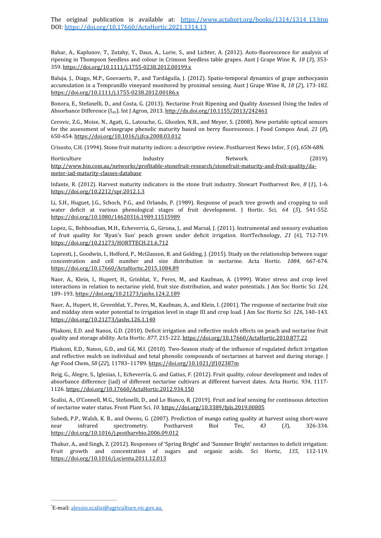Bahar, A., Kaplunov, T., Zutahy, Y., Daus, A., Lurie, S., and Lichter, A. (2012). Auto-fluorescence for analysis of ripening in Thompson Seedless and colour in Crimson Seedless table grapes. Aust J Grape Wine R, *18* (*3*), 353- 359.<https://doi.org/10.1111/j.1755-0238.2012.00199.x>

Baluja, J., Diago, M.P., Goovaerts, P., and Tardáguila, J. (2012). Spatio-temporal dynamics of grape anthocyanin accumulation in a Tempranillo vineyard monitored by proximal sensing. Aust J Grape Wine R, *18* (*2*), 173-182. <https://doi.org/10.1111/j.1755-0238.2012.00186.x>

Bonora, E., Stefanelli, D., and Costa, G. (2013). Nectarine Fruit Ripening and Quality Assessed Using the Index of Absorbance Difference  $(I_{AD})$ . Int J Agron, 2013. <http://dx.doi.org/10.1155/2013/242461>

Cerovic, Z.G., Moise, N., Agati, G., Latouche, G., Ghozlen, N.B., and Meyer, S. (2008). New portable optical sensors for the assessment of winegrape phenolic maturity based on berry fluorescence. J Food Compos Anal, *21* (*8*), 650-654.<https://doi.org/10.1016/j.jfca.2008.03.012>

Crisosto, C.H. (1994). Stone fruit maturity indices: a descriptive review. Postharvest News Infor, *5* (*6*), 65N-68N.

Horticulture Industry Network. (2019). [http://www.hin.com.au/networks/profitable-stonefruit-research/stonefruit-maturity-and-fruit-quality/da](http://www.hin.com.au/networks/profitable-stonefruit-research/stonefruit-maturity-and-fruit-quality/da-meter-iad-maturity-classes-database)[meter-iad-maturity-classes-database](http://www.hin.com.au/networks/profitable-stonefruit-research/stonefruit-maturity-and-fruit-quality/da-meter-iad-maturity-classes-database)

Infante, R. (2012). Harvest maturity indicators in the stone fruit industry. Stewart Postharvest Rev, *8* (*1*), 1-6. <https://doi.org/10.2212/spr.2012.1.3>

Li, S.H., Huguet, J.G., Schoch, P.G., and Orlando, P. (1989). Response of peach tree growth and cropping to soil water deficit at various phenological stages of fruit development. J Hortic. Sci, *64* (*5*), 541-552. <https://doi.org/10.1080/14620316.1989.11515989>

Lopez, G., Behboudian, M.H., Echeverria, G., Girona, J., and Marsal, J. (2011). Instrumental and sensory evaluation of fruit quality for 'Ryan's Sun' peach grown under deficit irrigation. HortTechnology, *21* (*6*), 712-719. <https://doi.org/10.21273/HORTTECH.21.6.712>

Lopresti, J., Goodwin, I., Holford, P., McGlasson, B. and Golding, J. (2015). Study on the relationship between sugar concentration and cell number and size distribution in nectarine. Acta Hortic. *1084*, 667-674. <https://doi.org/10.17660/ActaHortic.2015.1084.89>

Naor, A., Klein, I., Hupert, H., Grinblat, Y., Peres, M., and Kaufman, A. (1999). Water stress and crop level interactions in relation to nectarine yield, fruit size distribution, and water potentials. J Am Soc Hortic Sci *124*, 189–193. <https://doi.org/10.21273/jashs.124.2.189>

Naor, A., Hupert, H., Greenblat, Y., Peres, M., Kaufman, A., and Klein, I. (2001). The response of nectarine fruit size and midday stem water potential to irrigation level in stage III and crop load. J Am Soc Hortic Sci *126*, 140–143. <https://doi.org/10.21273/jashs.126.1.140>

Pliakoni, E.D. and Nanos, G.D. (2010). Deficit irrigation and reflective mulch effects on peach and nectarine fruit quality and storage ability. Acta Hortic. *877*, 215-222.<https://doi.org/10.17660/ActaHortic.2010.877.22>

Pliakoni, E.D., Nanos, G.D., and Gil, M.I. (2010). Two-Season study of the influence of regulated deficit irrigation and reflective mulch on individual and total phenolic compounds of nectarines at harvest and during storage. J Agr Food Chem, *58* (*22*), 11783–11789.<https://doi.org/10.1021/jf102387m>

Reig, G., Alegre, S., Iglesias, I., Echeverría, G. and Gatius, F. (2012). Fruit quality, colour development and index of absorbance difference (iad) of different nectarine cultivars at different harvest dates. Acta Hortic. *934*, 1117- 1126.<https://doi.org/10.17660/ActaHortic.2012.934.150>

Scalisi, A., O'Connell, M.G., Stefanelli, D., and Lo Bianco, R. (2019). Fruit and leaf sensing for continuous detection of nectarine water status. Front Plant Sci, *10*.<https://doi.org/10.3389/fpls.2019.00805>

Subedi, P.P., Walsh, K. B., and Owens, G. (2007). Prediction of mango eating quality at harvest using short-wave near infrared spectrometry. Postharvest Biol Tec, *43* (*3*), 326-334. <https://doi.org/10.1016/j.postharvbio.2006.09.012>

Thakur, A., and Singh, Z. (2012). Responses of 'Spring Bright' and 'Summer Bright' nectarines to deficit irrigation: Fruit growth and concentration of sugars and organic acids. Sci Hortic, *135*, 112-119. <https://doi.org/10.1016/j.scienta.2011.12.013>

<sup>\*</sup>E-mail: [alessio.scalisi@agriculture.vic.gov.au](mailto:alessio.scalisi@agriculture.vic.gov.au)